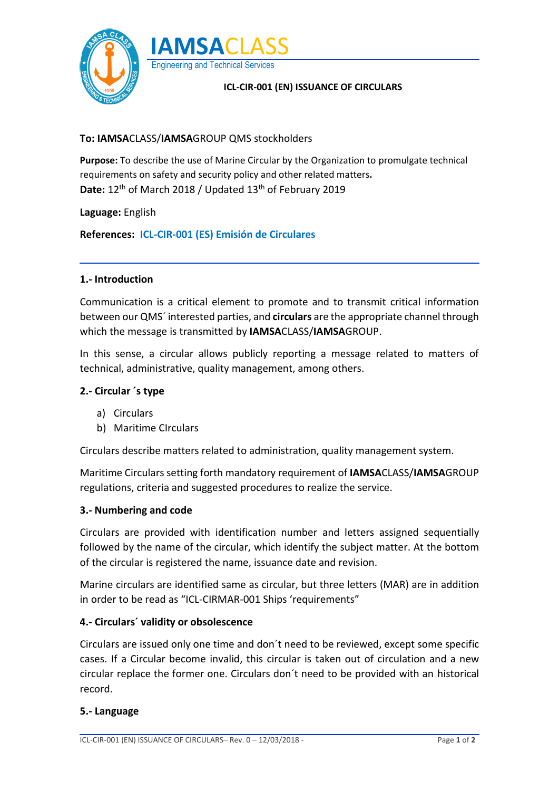



## **ICL-CIR-001 (EN) ISSUANCE OF CIRCULARS**

## **To: IAMSA**CLASS/**IAMSA**GROUP QMS stockholders

**Purpose:** To describe the use of Marine Circular by the Organization to promulgate technical requirements on safety and security policy and other related matters**.** Date: 12<sup>th</sup> of March 2018 / Updated 13<sup>th</sup> of February 2019

**Laguage:** English

**References: ICL-CIR-001 (ES) Emisión de Circulares**

## **1.- Introduction**

Communication is a critical element to promote and to transmit critical information between our QMS´ interested parties, and **circulars** are the appropriate channel through which the message is transmitted by **IAMSA**CLASS/**IAMSA**GROUP.

In this sense, a circular allows publicly reporting a message related to matters of technical, administrative, quality management, among others.

#### **2.- Circular ´s type**

- a) Circulars
- b) Maritime CIrculars

Circulars describe matters related to administration, quality management system.

Maritime Circulars setting forth mandatory requirement of **IAMSA**CLASS/**IAMSA**GROUP regulations, criteria and suggested procedures to realize the service.

#### **3.- Numbering and code**

Circulars are provided with identification number and letters assigned sequentially followed by the name of the circular, which identify the subject matter. At the bottom of the circular is registered the name, issuance date and revision.

Marine circulars are identified same as circular, but three letters (MAR) are in addition in order to be read as "ICL-CIRMAR-001 Ships 'requirements"

#### **4.- Circulars´ validity or obsolescence**

Circulars are issued only one time and don´t need to be reviewed, except some specific cases. If a Circular become invalid, this circular is taken out of circulation and a new circular replace the former one. Circulars don´t need to be provided with an historical record.

#### **5.- Language**